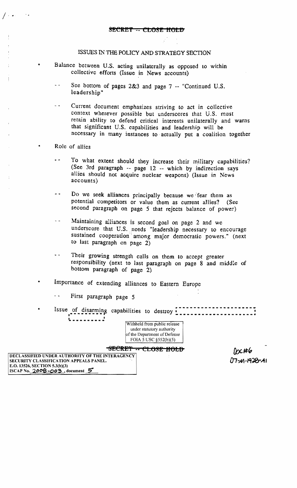## ISSUES IN THE POLICY AND STRATEGY SECTION

- Balance between U.S. acting unilaterally as opposed to within collective efforts (Issue in News accounts)
	- $\sim$   $\sim$ See bottom of pages 2&3 and page 7 -- "Continued U.S. leadership" .
	- Current document emphasizes striving to act in collective  $\sim$   $\sim$ context wherever possible but underscores that U.S. must retain ability to defend critical interests unilaterally and warns that significant U.S. capabilities and leadership will be necessary in many instances to· actually put a coalition together
	- Role of allies
		- $\ddot{\phantom{a}}$ To what extent should they increase their military capabilities? (See 3rd paragraph  $-$  page 12  $-$  which by indirection says allies should not acquire nuclear weapons) (Issue in News accounts)
		- $\sim$   $\sim$ Do we seek alliances principally because we fear them as potential competitors or value them as current aJIies? (See second paragraph on page 5 that rejects balance of power)
		- Maintaining alliances is second goal on page 2 and we المرابط underscore that U.S. needs "leadership necessary to encourage sustained cooperation among major democratic powers." (next to last paragraph on page 2)
		- Their growing strength calls on them to accept greater  $\ddot{\phantom{a}}$ responsibility (next to last paragraph on page 8 and middle of bottom paragraph of page 2)
- Importance of extending alliances to Eastern Europe
	- $\sim$   $\sim$ First paragraph page 5
- \* Issue of disarming capabilities to destroy<sup>1</sup> • • **----------** .<br>ا



 $07 - 192 - 192 - 11$ 

8ECRET -- CLOSE HOLD DECLASSIFIED UNDER AUTHORITY OF THE INTERAGENCY SECURITY CLASSIFICATION APPEALS PANEL. E.O. 13526, SECTION S.3(b)(3) ISCAP No.  $2008 - 003$ , document  $5'$